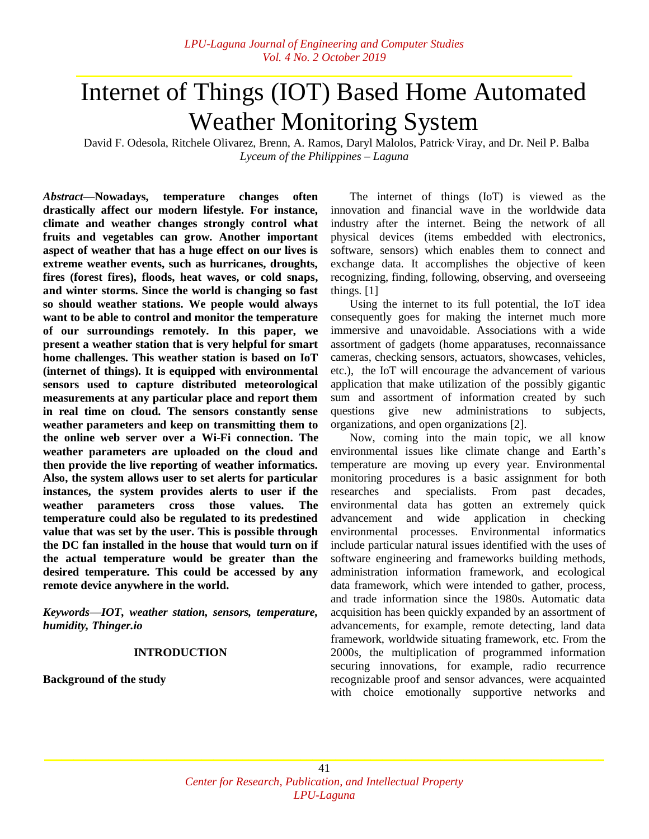# Internet of Things (IOT) Based Home Automated Weather Monitoring System

David F. Odesola, Ritchele Olivarez, Brenn, A. Ramos, Daryl Malolos, Patrick, Viray, and Dr. Neil P. Balba *Lyceum of the Philippines ‒ Laguna*

*Abstract—***Nowadays, temperature changes often drastically affect our modern lifestyle. For instance, climate and weather changes strongly control what fruits and vegetables can grow. Another important aspect of weather that has a huge effect on our lives is extreme weather events, such as hurricanes, droughts, fires (forest fires), floods, heat waves, or cold snaps, and winter storms. Since the world is changing so fast so should weather stations. We people would always want to be able to control and monitor the temperature of our surroundings remotely. In this paper, we present a weather station that is very helpful for smart home challenges. This weather station is based on IoT (internet of things). It is equipped with environmental sensors used to capture distributed meteorological measurements at any particular place and report them in real time on cloud. The sensors constantly sense weather parameters and keep on transmitting them to the online web server over a Wi-Fi connection. The weather parameters are uploaded on the cloud and then provide the live reporting of weather informatics. Also, the system allows user to set alerts for particular instances, the system provides alerts to user if the weather parameters cross those values. The temperature could also be regulated to its predestined value that was set by the user. This is possible through the DC fan installed in the house that would turn on if the actual temperature would be greater than the desired temperature. This could be accessed by any remote device anywhere in the world.**

*Keywords*—*IOT, weather station, sensors, temperature, humidity, Thinger.io*

#### **INTRODUCTION**

**Background of the study**

The internet of things (IoT) is viewed as the innovation and financial wave in the worldwide data industry after the internet. Being the network of all physical devices (items embedded with electronics, software, sensors) which enables them to connect and exchange data. It accomplishes the objective of keen recognizing, finding, following, observing, and overseeing things. [1]

Using the internet to its full potential, the IoT idea consequently goes for making the internet much more immersive and unavoidable. Associations with a wide assortment of gadgets (home apparatuses, reconnaissance cameras, checking sensors, actuators, showcases, vehicles, etc.), the IoT will encourage the advancement of various application that make utilization of the possibly gigantic sum and assortment of information created by such questions give new administrations to subjects, organizations, and open organizations [2].

Now, coming into the main topic, we all know environmental issues like climate change and Earth's temperature are moving up every year. Environmental monitoring procedures is a basic assignment for both researches and specialists. From past decades, environmental data has gotten an extremely quick advancement and wide application in checking environmental processes. Environmental informatics include particular natural issues identified with the uses of software engineering and frameworks building methods, administration information framework, and ecological data framework, which were intended to gather, process, and trade information since the 1980s. Automatic data acquisition has been quickly expanded by an assortment of advancements, for example, remote detecting, land data framework, worldwide situating framework, etc. From the 2000s, the multiplication of programmed information securing innovations, for example, radio recurrence recognizable proof and sensor advances, were acquainted with choice emotionally supportive networks and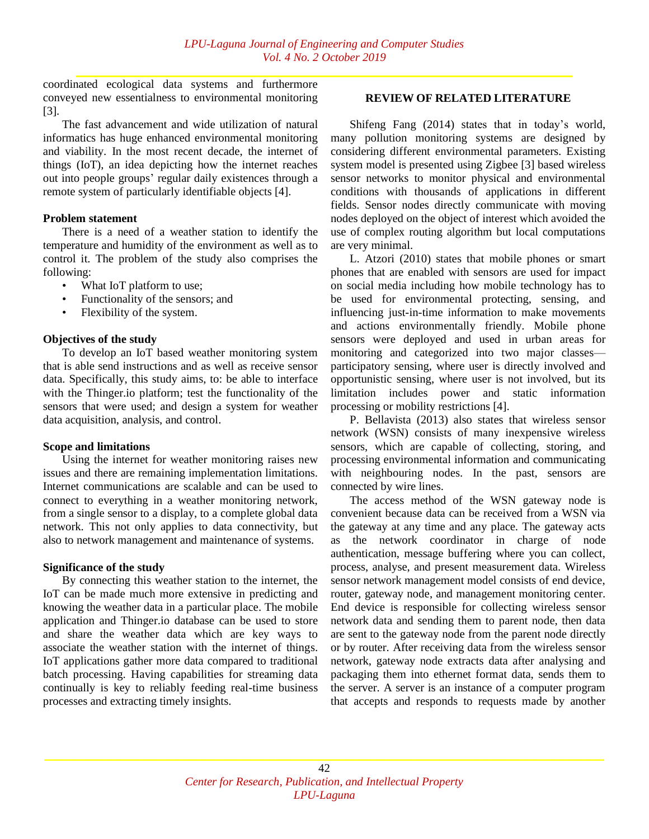coordinated ecological data systems and furthermore conveyed new essentialness to environmental monitoring [3].

The fast advancement and wide utilization of natural informatics has huge enhanced environmental monitoring and viability. In the most recent decade, the internet of things (IoT), an idea depicting how the internet reaches out into people groups' regular daily existences through a remote system of particularly identifiable objects [4].

# **Problem statement**

There is a need of a weather station to identify the temperature and humidity of the environment as well as to control it. The problem of the study also comprises the following:

- What IoT platform to use;
- Functionality of the sensors: and
- Flexibility of the system.

# **Objectives of the study**

To develop an IoT based weather monitoring system that is able send instructions and as well as receive sensor data. Specifically, this study aims, to: be able to interface with the Thinger.io platform; test the functionality of the sensors that were used; and design a system for weather data acquisition, analysis, and control.

#### **Scope and limitations**

Using the internet for weather monitoring raises new issues and there are remaining implementation limitations. Internet communications are scalable and can be used to connect to everything in a weather monitoring network, from a single sensor to a display, to a complete global data network. This not only applies to data connectivity, but also to network management and maintenance of systems.

#### **Significance of the study**

By connecting this weather station to the internet, the IoT can be made much more extensive in predicting and knowing the weather data in a particular place. The mobile application and Thinger.io database can be used to store and share the weather data which are key ways to associate the weather station with the internet of things. IoT applications gather more data compared to traditional batch processing. Having capabilities for streaming data continually is key to reliably feeding real-time business processes and extracting timely insights.

# **REVIEW OF RELATED LITERATURE**

Shifeng Fang (2014) states that in today's world, many pollution monitoring systems are designed by considering different environmental parameters. Existing system model is presented using Zigbee [3] based wireless sensor networks to monitor physical and environmental conditions with thousands of applications in different fields. Sensor nodes directly communicate with moving nodes deployed on the object of interest which avoided the use of complex routing algorithm but local computations are very minimal.

L. Atzori (2010) states that mobile phones or smart phones that are enabled with sensors are used for impact on social media including how mobile technology has to be used for environmental protecting, sensing, and influencing just-in-time information to make movements and actions environmentally friendly. Mobile phone sensors were deployed and used in urban areas for monitoring and categorized into two major classes participatory sensing, where user is directly involved and opportunistic sensing, where user is not involved, but its limitation includes power and static information processing or mobility restrictions [4].

P. Bellavista (2013) also states that wireless sensor network (WSN) consists of many inexpensive wireless sensors, which are capable of collecting, storing, and processing environmental information and communicating with neighbouring nodes. In the past, sensors are connected by wire lines.

The access method of the WSN gateway node is convenient because data can be received from a WSN via the gateway at any time and any place. The gateway acts as the network coordinator in charge of node authentication, message buffering where you can collect, process, analyse, and present measurement data. Wireless sensor network management model consists of end device, router, gateway node, and management monitoring center. End device is responsible for collecting wireless sensor network data and sending them to parent node, then data are sent to the gateway node from the parent node directly or by router. After receiving data from the wireless sensor network, gateway node extracts data after analysing and packaging them into ethernet format data, sends them to the server. A server is an instance of a computer program that accepts and responds to requests made by another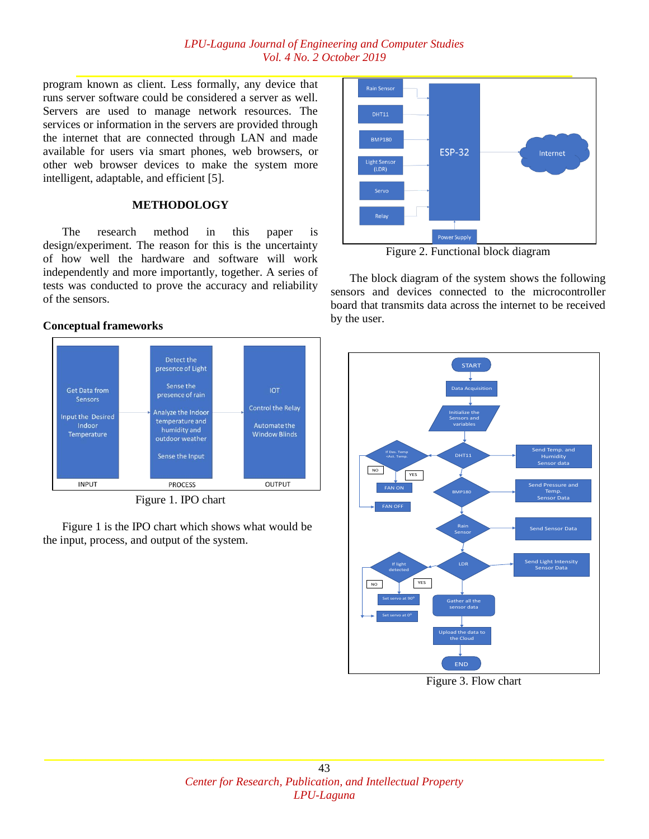program known as client. Less formally, any device that runs server software could be considered a server as well. Servers are used to manage network resources. The services or information in the servers are provided through the internet that are connected through LAN and made available for users via smart phones, web browsers, or other web browser devices to make the system more intelligent, adaptable, and efficient [5].

# **METHODOLOGY**

The research method in this paper is design/experiment. The reason for this is the uncertainty of how well the hardware and software will work independently and more importantly, together. A series of tests was conducted to prove the accuracy and reliability of the sensors.

**Conceptual frameworks**



Figure 1. IPO chart

Figure 1 is the IPO chart which shows what would be the input, process, and output of the system.



Figure 2. Functional block diagram

The block diagram of the system shows the following sensors and devices connected to the microcontroller board that transmits data across the internet to be received by the user.



Figure 3. Flow chart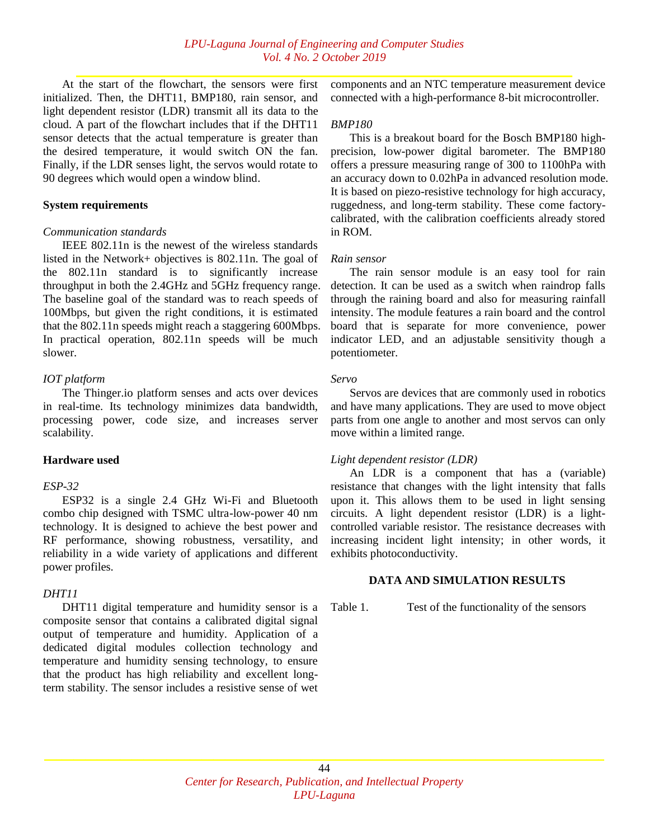At the start of the flowchart, the sensors were first initialized. Then, the DHT11, BMP180, rain sensor, and light dependent resistor (LDR) transmit all its data to the cloud. A part of the flowchart includes that if the DHT11 sensor detects that the actual temperature is greater than the desired temperature, it would switch ON the fan. Finally, if the LDR senses light, the servos would rotate to 90 degrees which would open a window blind.

#### **System requirements**

#### *Communication standards*

IEEE 802.11n is the newest of the wireless standards listed in the Network+ objectives is 802.11n. The goal of the 802.11n standard is to significantly increase throughput in both the 2.4GHz and 5GHz frequency range. The baseline goal of the standard was to reach speeds of 100Mbps, but given the right conditions, it is estimated that the 802.11n speeds might reach a staggering 600Mbps. In practical operation, 802.11n speeds will be much slower.

#### *IOT platform*

The Thinger.io platform senses and acts over devices in real-time. Its technology minimizes data bandwidth, processing power, code size, and increases server scalability.

## **Hardware used**

#### *ESP-32*

ESP32 is a single 2.4 GHz Wi-Fi and Bluetooth combo chip designed with TSMC ultra-low-power 40 nm technology. It is designed to achieve the best power and RF performance, showing robustness, versatility, and reliability in a wide variety of applications and different power profiles.

# *DHT11*

DHT11 digital temperature and humidity sensor is a composite sensor that contains a calibrated digital signal output of temperature and humidity. Application of a dedicated digital modules collection technology and temperature and humidity sensing technology, to ensure that the product has high reliability and excellent longterm stability. The sensor includes a resistive sense of wet

components and an NTC temperature measurement device connected with a high-performance 8-bit microcontroller.

#### *BMP180*

This is a breakout board for the Bosch BMP180 highprecision, low-power digital barometer. The BMP180 offers a pressure measuring range of 300 to 1100hPa with an accuracy down to 0.02hPa in advanced resolution mode. It is based on piezo-resistive technology for high accuracy, ruggedness, and long-term stability. These come factorycalibrated, with the calibration coefficients already stored in ROM.

#### *Rain sensor*

The rain sensor module is an easy tool for rain detection. It can be used as a switch when raindrop falls through the raining board and also for measuring rainfall intensity. The module features a rain board and the control board that is separate for more convenience, power indicator LED, and an adjustable sensitivity though a potentiometer.

#### *Servo*

Servos are devices that are commonly used in robotics and have many applications. They are used to move object parts from one angle to another and most servos can only move within a limited range.

## *Light dependent resistor (LDR)*

An LDR is a component that has a (variable) resistance that changes with the light intensity that falls upon it. This allows them to be used in light sensing circuits. A light dependent resistor (LDR) is a lightcontrolled variable resistor. The resistance decreases with increasing incident light intensity; in other words, it exhibits photoconductivity.

#### **DATA AND SIMULATION RESULTS**

Table 1. Test of the functionality of the sensors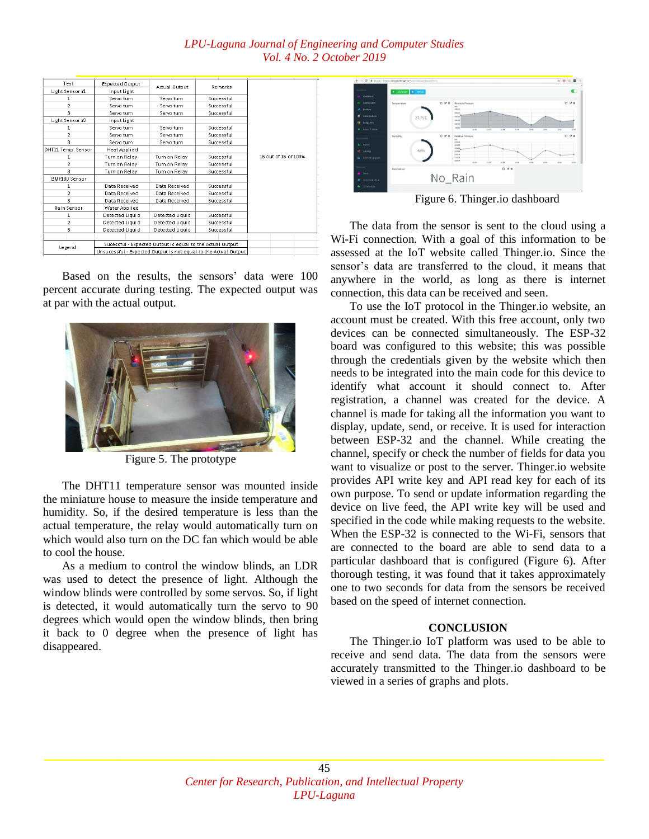| Test                 | Expected Output                                                 | Actual Output                                             | Remarks    |                      |
|----------------------|-----------------------------------------------------------------|-----------------------------------------------------------|------------|----------------------|
| Light Sensor #1      | Input Light                                                     |                                                           |            |                      |
|                      | Servo turn                                                      | Servo turn                                                | Successful |                      |
| $\overline{2}$       | Servo turn                                                      | Servo turn                                                | Successful |                      |
| 3                    | Servo turn                                                      | Servo turn                                                | Successful |                      |
| Light Sensor #2      | Input Light                                                     |                                                           |            |                      |
| 1                    | Servo turn                                                      | Servo turn                                                | Successful |                      |
| $\overline{2}$       | Servo turn                                                      | Servo turn                                                | Successful |                      |
| 3.                   | Servo turn                                                      | Servo turn                                                | Successful |                      |
| DHT11 Temp. Sensor   | Heat Applied                                                    |                                                           |            |                      |
|                      | Turn on Relay                                                   | Turn on Relay                                             | Successful | 15 out of 15 or 100% |
| $\overline{2}$       | Turn on Relay                                                   | Turn on Relay                                             | Successful |                      |
| 3                    | Turn on Relay                                                   | Turn on Relay                                             | Successful |                      |
| <b>BMP180 Sensor</b> |                                                                 |                                                           |            |                      |
| 1                    | Data Received                                                   | Data Received                                             | Successful |                      |
| $\overline{2}$       | Data Received                                                   | Data Received                                             | Successful |                      |
| 3                    | Data Received                                                   | Data Received                                             | Successful |                      |
| Rain Sensor          | Water Applied                                                   |                                                           |            |                      |
| $\mathbf{1}$         | Detected Liquid                                                 | Detected Liquid                                           | Successful |                      |
| 2                    | Detected Liquid                                                 | Detected Liquid                                           | Successful |                      |
| з                    | Detected Liquid                                                 | Detected Liquid                                           | Successful |                      |
|                      |                                                                 |                                                           |            |                      |
| Legend:              |                                                                 | Sucessful - Expected Output is equal to the Actual Output |            |                      |
|                      | Unsucessful - Expected Output is not equal to the Actual Output |                                                           |            |                      |

Based on the results, the sensors' data were 100 percent accurate during testing. The expected output was at par with the actual output.



Figure 5. The prototype

The DHT11 temperature sensor was mounted inside the miniature house to measure the inside temperature and humidity. So, if the desired temperature is less than the actual temperature, the relay would automatically turn on which would also turn on the DC fan which would be able to cool the house.

As a medium to control the window blinds, an LDR was used to detect the presence of light. Although the window blinds were controlled by some servos. So, if light is detected, it would automatically turn the servo to 90 degrees which would open the window blinds, then bring it back to 0 degree when the presence of light has disappeared.



Figure 6. Thinger.io dashboard

The data from the sensor is sent to the cloud using a Wi-Fi connection. With a goal of this information to be assessed at the IoT website called Thinger.io. Since the sensor's data are transferred to the cloud, it means that anywhere in the world, as long as there is internet connection, this data can be received and seen.

To use the IoT protocol in the Thinger.io website, an account must be created. With this free account, only two devices can be connected simultaneously. The ESP-32 board was configured to this website; this was possible through the credentials given by the website which then needs to be integrated into the main code for this device to identify what account it should connect to. After registration, a channel was created for the device. A channel is made for taking all the information you want to display, update, send, or receive. It is used for interaction between ESP-32 and the channel. While creating the channel, specify or check the number of fields for data you want to visualize or post to the server. Thinger.io website provides API write key and API read key for each of its own purpose. To send or update information regarding the device on live feed, the API write key will be used and specified in the code while making requests to the website. When the ESP-32 is connected to the Wi-Fi, sensors that are connected to the board are able to send data to a particular dashboard that is configured (Figure 6). After thorough testing, it was found that it takes approximately one to two seconds for data from the sensors be received based on the speed of internet connection.

# **CONCLUSION**

The Thinger.io IoT platform was used to be able to receive and send data. The data from the sensors were accurately transmitted to the Thinger.io dashboard to be viewed in a series of graphs and plots.